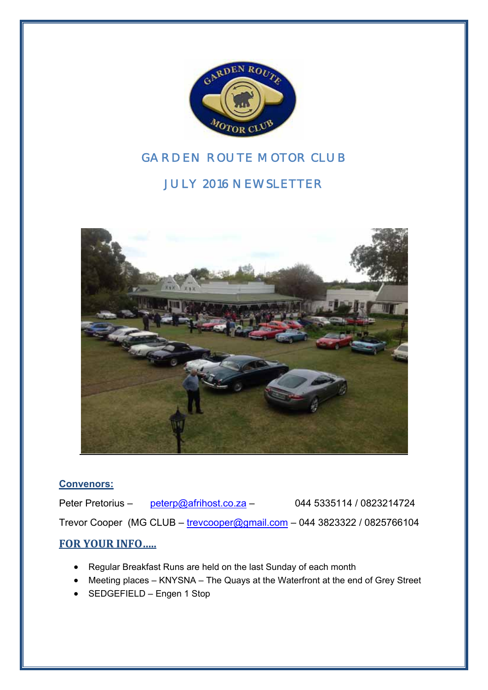

# *GARDEN ROUTE MOTOR CLUB*

# *JULY 2016 NEWSLETTER*



#### **Convenors:**

Peter Pretorius – peterp@afrihost.co.za – 044 5335114 / 0823214724 Trevor Cooper (MG CLUB – trevcooper@gmail.com – 044 3823322 / 0825766104

#### **FOR YOUR INFO…..**

- Regular Breakfast Runs are held on the last Sunday of each month
- Meeting places KNYSNA The Quays at the Waterfront at the end of Grey Street
- SEDGEFIELD Engen 1 Stop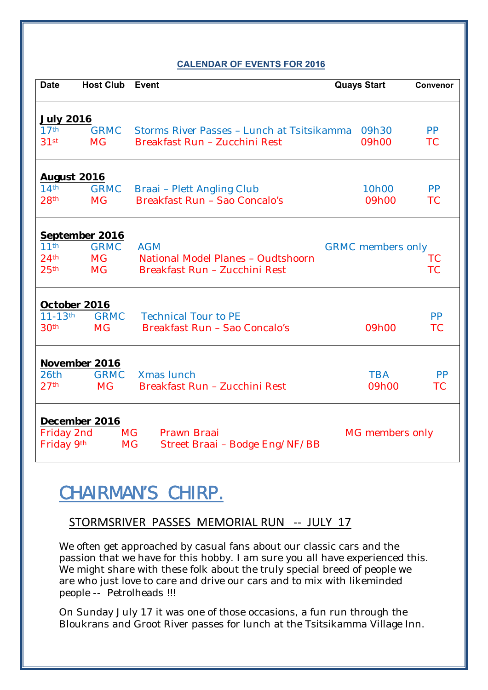#### **CALENDAR OF EVENTS FOR 2016**

| <b>Date</b>                          | <b>Host Club</b>         | Event                                                                       | <b>Quays Start</b>       | Convenor               |  |  |
|--------------------------------------|--------------------------|-----------------------------------------------------------------------------|--------------------------|------------------------|--|--|
| <b>July 2016</b>                     |                          |                                                                             |                          |                        |  |  |
| 17 <sup>th</sup><br>31 <sup>st</sup> | <b>GRMC</b><br><b>MG</b> | Storms River Passes - Lunch at Tsitsikamma<br>Breakfast Run - Zucchini Rest | 09h30<br>09h00           | <b>PP</b><br><b>TC</b> |  |  |
| <b>August 2016</b>                   |                          |                                                                             |                          |                        |  |  |
| 14 <sup>th</sup><br>28 <sup>th</sup> | <b>GRMC</b><br><b>MG</b> | <b>Braai</b> - Plett Angling Club<br>Breakfast Run - Sao Concalo's          | 10h00<br>09h00           | <b>PP</b><br><b>TC</b> |  |  |
| September 2016                       |                          |                                                                             |                          |                        |  |  |
| 11 <sup>th</sup>                     | <b>GRMC</b>              | <b>AGM</b>                                                                  | <b>GRMC</b> members only |                        |  |  |
| 24 <sup>th</sup><br>25 <sup>th</sup> | <b>MG</b><br><b>MG</b>   | National Model Planes - Oudtshoorn<br>Breakfast Run - Zucchini Rest         |                          | <b>TC</b><br><b>TC</b> |  |  |
| October 2016                         |                          |                                                                             |                          |                        |  |  |
| $11 - 13$ <sup>th</sup>              | <b>GRMC</b>              | <b>Technical Tour to PE</b>                                                 |                          | <b>PP</b>              |  |  |
| 30 <sup>th</sup>                     | <b>MG</b>                | Breakfast Run - Sao Concalo's                                               | 09h00                    | <b>TC</b>              |  |  |
|                                      | <b>November 2016</b>     |                                                                             |                          |                        |  |  |
| 26th                                 | <b>GRMC</b>              | <b>Xmas</b> lunch                                                           | <b>TBA</b>               | <b>PP</b>              |  |  |
| 27 <sup>th</sup>                     | <b>MG</b>                | Breakfast Run - Zucchini Rest                                               | 09h00                    | <b>TC</b>              |  |  |
| <b>December 2016</b>                 |                          |                                                                             |                          |                        |  |  |
| Friday 2nd<br>Friday 9th             |                          | MG<br>Prawn Braai<br><b>MG</b><br>Street Braai - Bodge Eng/NF/BB            | MG members only          |                        |  |  |
|                                      |                          |                                                                             |                          |                        |  |  |

# **CHAIRMAN'S CHIRP.**

### STORMSRIVER PASSES MEMORIAL RUN ‐‐ JULY 17

We often get approached by casual fans about our classic cars and the passion that we have for this hobby. I am sure you all have experienced this. We might share with these folk about the truly special breed of people we are who just love to care and drive our cars and to mix with likeminded people -- Petrolheads !!!

On Sunday July 17 it was one of those occasions, a fun run through the Bloukrans and Groot River passes for lunch at the Tsitsikamma Village Inn.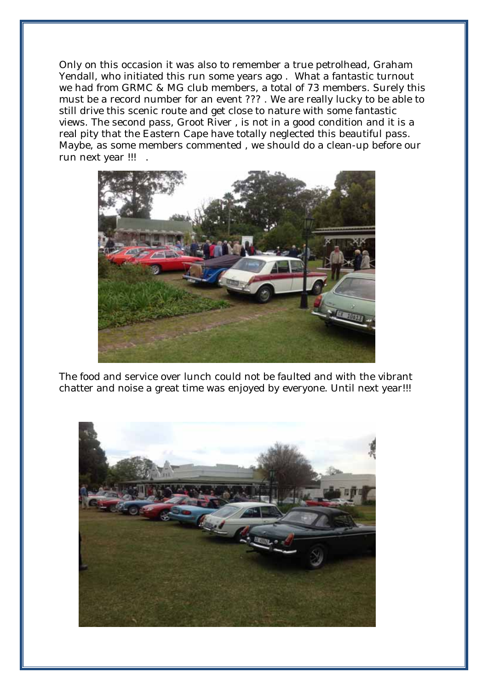Only on this occasion it was also to remember a true petrolhead, Graham Yendall, who initiated this run some years ago . What a fantastic turnout we had from GRMC & MG club members, a total of 73 members. Surely this must be a record number for an event ??? . We are really lucky to be able to still drive this scenic route and get close to nature with some fantastic views. The second pass, Groot River , is not in a good condition and it is a real pity that the Eastern Cape have totally neglected this beautiful pass. Maybe, as some members commented , we should do a clean-up before our run next year !!! .



The food and service over lunch could not be faulted and with the vibrant chatter and noise a great time was enjoyed by everyone. Until next year!!!

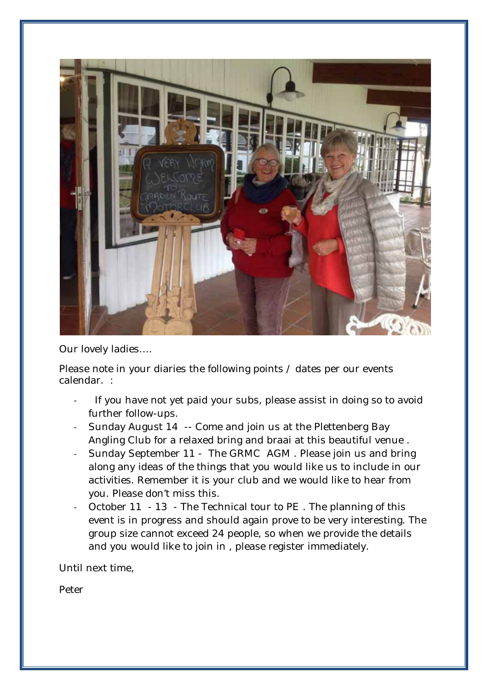

Our lovely ladies….

Please note in your diaries the following points / dates per our events calendar. :

- If you have not yet paid your subs, please assist in doing so to avoid further follow-ups.
- ‐ Sunday August 14 -- Come and join us at the Plettenberg Bay Angling Club for a relaxed bring and braai at this beautiful venue .
- ‐ Sunday September 11 The GRMC AGM . Please join us and bring along any ideas of the things that you would like us to include in our activities. Remember it is your club and we would like to hear from you. Please don't miss this.
- ‐ October 11 13 The Technical tour to PE . The planning of this event is in progress and should again prove to be very interesting. The group size cannot exceed 24 people, so when we provide the details and you would like to join in , please register immediately.

Until next time,

Peter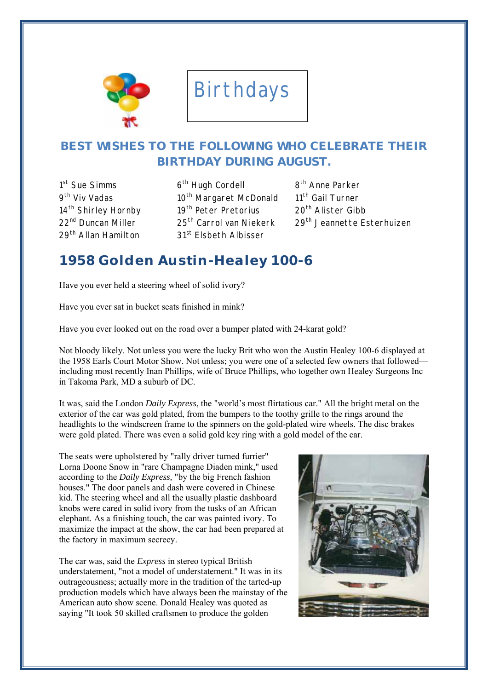

# Birthdays

## **BEST WISHES TO THE FOLLOWING WHO CELEBRATE THEIR BIRTHDAY DURING AUGUST.**

1<sup>st</sup> Sue Simms

 $6<sup>th</sup>$  Hugh Cordell  $8<sup>th</sup>$  Anne Parker 9<sup>th</sup> Viv Vadas 10<sup>th</sup> Margaret McDonald 11<sup>th</sup> Gail Turner 14<sup>th</sup> Shirley Hornby 19<sup>th</sup> Peter Pretorius 20<sup>th</sup> Alister Gibb 29<sup>th</sup> Allan Hamilton 31<sup>st</sup> Elsbeth Albisser

22<sup>nd</sup> Duncan Miller 25<sup>th</sup> Carrol van Niekerk 29<sup>th</sup> Jeannette Esterhuizen

## **1958 Golden Austin-Healey 100-6**

Have you ever held a steering wheel of solid ivory?

Have you ever sat in bucket seats finished in mink?

Have you ever looked out on the road over a bumper plated with 24-karat gold?

Not bloody likely. Not unless you were the lucky Brit who won the Austin Healey 100-6 displayed at the 1958 Earls Court Motor Show. Not unless; you were one of a selected few owners that followed including most recently Inan Phillips, wife of Bruce Phillips, who together own Healey Surgeons Inc in Takoma Park, MD a suburb of DC.

It was, said the London *Daily Express*, the "world's most flirtatious car." All the bright metal on the exterior of the car was gold plated, from the bumpers to the toothy grille to the rings around the headlights to the windscreen frame to the spinners on the gold-plated wire wheels. The disc brakes were gold plated. There was even a solid gold key ring with a gold model of the car.

The seats were upholstered by "rally driver turned furrier" Lorna Doone Snow in "rare Champagne Diaden mink," used according to the *Daily Express,* "by the big French fashion houses." The door panels and dash were covered in Chinese kid. The steering wheel and all the usually plastic dashboard knobs were cared in solid ivory from the tusks of an African elephant. As a finishing touch, the car was painted ivory. To maximize the impact at the show, the car had been prepared at the factory in maximum secrecy.

The car was, said the *Express* in stereo typical British understatement, "not a model of understatement." It was in its outrageousness; actually more in the tradition of the tarted-up production models which have always been the mainstay of the American auto show scene. Donald Healey was quoted as saying "It took 50 skilled craftsmen to produce the golden

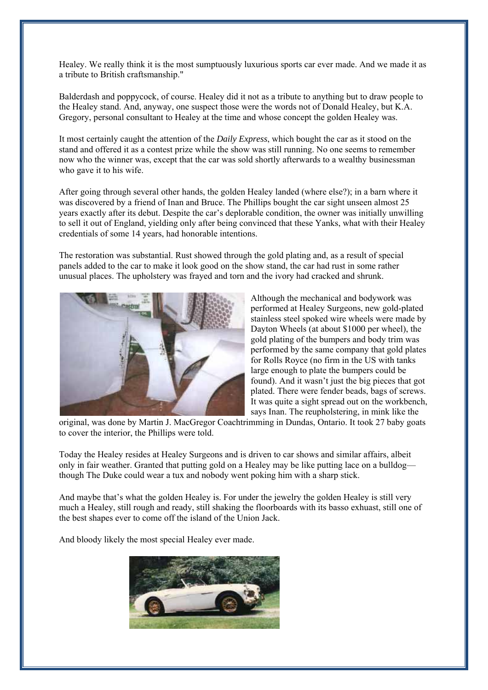Healey. We really think it is the most sumptuously luxurious sports car ever made. And we made it as a tribute to British craftsmanship."

Balderdash and poppycock, of course. Healey did it not as a tribute to anything but to draw people to the Healey stand. And, anyway, one suspect those were the words not of Donald Healey, but K.A. Gregory, personal consultant to Healey at the time and whose concept the golden Healey was.

It most certainly caught the attention of the *Daily Express*, which bought the car as it stood on the stand and offered it as a contest prize while the show was still running. No one seems to remember now who the winner was, except that the car was sold shortly afterwards to a wealthy businessman who gave it to his wife.

After going through several other hands, the golden Healey landed (where else?); in a barn where it was discovered by a friend of Inan and Bruce. The Phillips bought the car sight unseen almost 25 years exactly after its debut. Despite the car's deplorable condition, the owner was initially unwilling to sell it out of England, yielding only after being convinced that these Yanks, what with their Healey credentials of some 14 years, had honorable intentions.

The restoration was substantial. Rust showed through the gold plating and, as a result of special panels added to the car to make it look good on the show stand, the car had rust in some rather unusual places. The upholstery was frayed and torn and the ivory had cracked and shrunk.



Although the mechanical and bodywork was performed at Healey Surgeons, new gold-plated stainless steel spoked wire wheels were made by Dayton Wheels (at about \$1000 per wheel), the gold plating of the bumpers and body trim was performed by the same company that gold plates for Rolls Royce (no firm in the US with tanks large enough to plate the bumpers could be found). And it wasn't just the big pieces that got plated. There were fender beads, bags of screws. It was quite a sight spread out on the workbench, says Inan. The reupholstering, in mink like the

original, was done by Martin J. MacGregor Coachtrimming in Dundas, Ontario. It took 27 baby goats to cover the interior, the Phillips were told.

Today the Healey resides at Healey Surgeons and is driven to car shows and similar affairs, albeit only in fair weather. Granted that putting gold on a Healey may be like putting lace on a bulldog though The Duke could wear a tux and nobody went poking him with a sharp stick.

And maybe that's what the golden Healey is. For under the jewelry the golden Healey is still very much a Healey, still rough and ready, still shaking the floorboards with its basso exhuast, still one of the best shapes ever to come off the island of the Union Jack.

And bloody likely the most special Healey ever made.

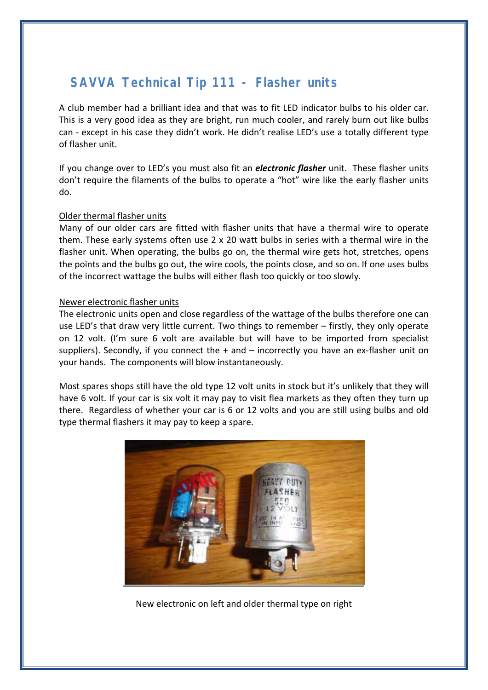# **SAVVA Technical Tip 111 - Flasher units**

A club member had a brilliant idea and that was to fit LED indicator bulbs to his older car. This is a very good idea as they are bright, run much cooler, and rarely burn out like bulbs can ‐ except in his case they didn't work. He didn't realise LED's use a totally different type of flasher unit.

If you change over to LED's you must also fit an *electronic flasher* unit. These flasher units don't require the filaments of the bulbs to operate a "hot" wire like the early flasher units do.

#### Older thermal flasher units

Many of our older cars are fitted with flasher units that have a thermal wire to operate them. These early systems often use 2 x 20 watt bulbs in series with a thermal wire in the flasher unit. When operating, the bulbs go on, the thermal wire gets hot, stretches, opens the points and the bulbs go out, the wire cools, the points close, and so on. If one uses bulbs of the incorrect wattage the bulbs will either flash too quickly or too slowly.

#### Newer electronic flasher units

The electronic units open and close regardless of the wattage of the bulbs therefore one can use LED's that draw very little current. Two things to remember – firstly, they only operate on 12 volt. (I'm sure 6 volt are available but will have to be imported from specialist suppliers). Secondly, if you connect the  $+$  and  $-$  incorrectly you have an ex-flasher unit on your hands. The components will blow instantaneously.

Most spares shops still have the old type 12 volt units in stock but it's unlikely that they will have 6 volt. If your car is six volt it may pay to visit flea markets as they often they turn up there. Regardless of whether your car is 6 or 12 volts and you are still using bulbs and old type thermal flashers it may pay to keep a spare.



New electronic on left and older thermal type on right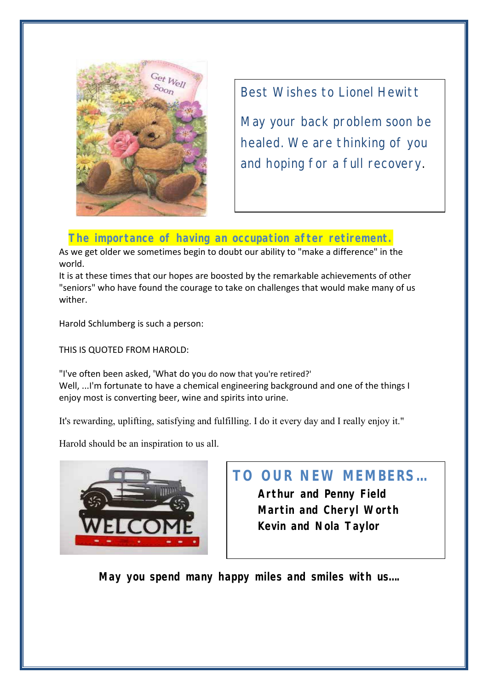

Best Wishes to Lionel Hewitt

May your back problem soon be healed. We are thinking of you and hoping for a full recovery.

### **The importance of having an occupation after retirement.**

As we get older we sometimes begin to doubt our ability to "make a difference" in the world.

It is at these times that our hopes are boosted by the remarkable achievements of other "seniors" who have found the courage to take on challenges that would make many of us wither.

Harold Schlumberg is such a person:

THIS IS QUOTED FROM HAROLD:

"I've often been asked, 'What do you do now that you're retired?' Well, ...I'm fortunate to have a chemical engineering background and one of the things I enjoy most is converting beer, wine and spirits into urine.

It's rewarding, uplifting, satisfying and fulfilling. I do it every day and I really enjoy it."

Harold should be an inspiration to us all.



# **TO OUR NEW MEMBERS…**

 **Arthur and Penny Field Martin and Cheryl Worth Kevin and Nola Taylor** 

 **May you spend many happy miles and smiles with us….**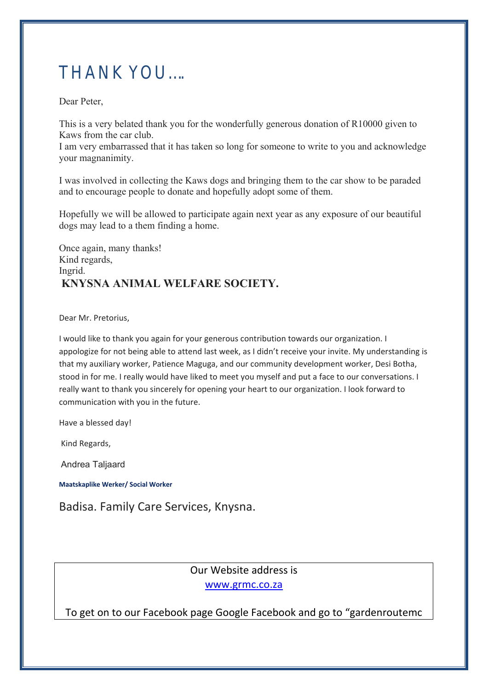# THANK YOU….

Dear Peter,

This is a very belated thank you for the wonderfully generous donation of R10000 given to Kaws from the car club.

I am very embarrassed that it has taken so long for someone to write to you and acknowledge your magnanimity.

I was involved in collecting the Kaws dogs and bringing them to the car show to be paraded and to encourage people to donate and hopefully adopt some of them.

Hopefully we will be allowed to participate again next year as any exposure of our beautiful dogs may lead to a them finding a home.

Once again, many thanks! Kind regards, Ingrid. **KNYSNA ANIMAL WELFARE SOCIETY.** 

Dear Mr. Pretorius,

I would like to thank you again for your generous contribution towards our organization. I appologize for not being able to attend last week, as I didn't receive your invite. My understanding is that my auxiliary worker, Patience Maguga, and our community development worker, Desi Botha, stood in for me. I really would have liked to meet you myself and put a face to our conversations. I really want to thank you sincerely for opening your heart to our organization. I look forward to communication with you in the future.

Have a blessed day!

Kind Regards,

Andrea Taljaard

**Maatskaplike Werker/ Social Worker**

Badisa. Family Care Services, Knysna.

Our Website address is www.grmc.co.za

To get on to our Facebook page Google Facebook and go to "gardenroutemc